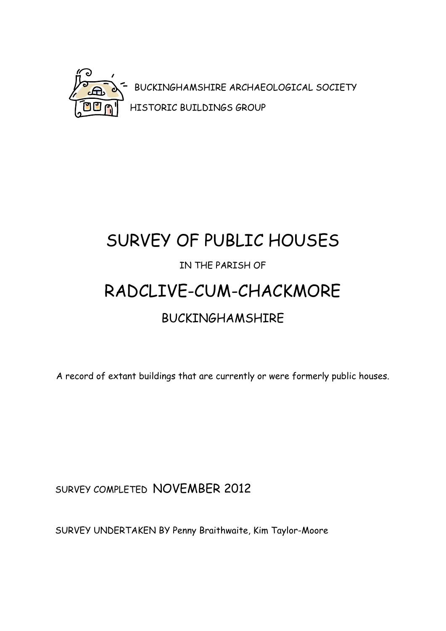

## SURVEY OF PUBLIC HOUSES IN THE PARISH OF RADCLIVE-CUM-CHACKMORE BUCKINGHAMSHIRE

A record of extant buildings that are currently or were formerly public houses.

SURVEY COMPLETED NOVEMBER 2012

SURVEY UNDERTAKEN BY Penny Braithwaite, Kim Taylor-Moore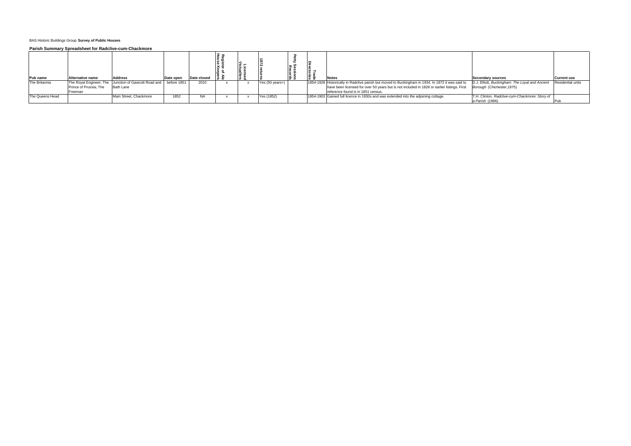| Pub name        | Alternative name       | <b>Address</b>                                                   | Date open | Date closed | ាន្ន ។ |                 |  | <b>Notes</b>                                                                                      | Secondary sources                               | Current use              |
|-----------------|------------------------|------------------------------------------------------------------|-----------|-------------|--------|-----------------|--|---------------------------------------------------------------------------------------------------|-------------------------------------------------|--------------------------|
| The Britannia   |                        | The Royal Engineer; The Junction of Gawcott Road and before 1851 |           | 2010        |        | Yes (50 years+) |  | 1854-1928 Historically in Radclive parish but moved to Buckingham in 1934. In 1872 it was said to | D.J. Elliott, Buckingham: The Loyal and Ancient | <b>Residential units</b> |
|                 | Prince of Prussia; The | <b>Bath Lane</b>                                                 |           |             |        |                 |  | have been licensed for over 50 years but is not included in 1828 or earlier listings. First       | Borough (Chichester, 1975)                      |                          |
|                 | Freeman                |                                                                  |           |             |        |                 |  | reference found is in 1851 census.                                                                |                                                 |                          |
| The Queens Head |                        | Main Street. Chackmore                                           | 1852      | NA          |        | Yes (1852)      |  | 1854-1903 Gained full licence in 1930s and was extended into the adjoining cottage.               | T.H. Clinton, Radclive-cum-Chackmore: Story of  |                          |
|                 |                        |                                                                  |           |             |        |                 |  |                                                                                                   | a Parish (1986)                                 |                          |

## BAS Historic Buildings Group **Survey of Public Houses**

## **Parish Summary Spreadsheet for Radclive-cum-Chackmore**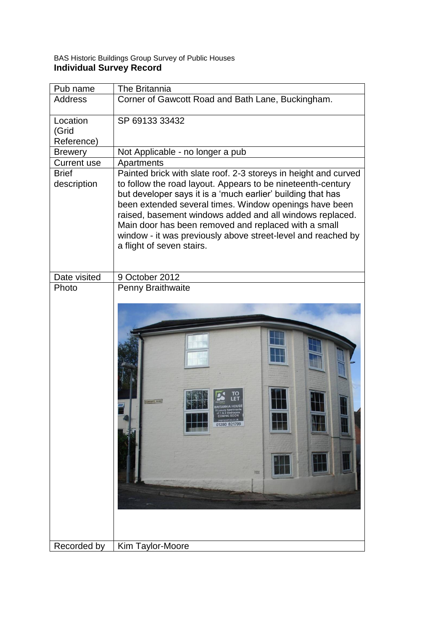## BAS Historic Buildings Group Survey of Public Houses **Individual Survey Record**

| Pub name                    | <b>The Britannia</b>                                                                                                                                                                                                                                                                                                                                                                                                                                                     |
|-----------------------------|--------------------------------------------------------------------------------------------------------------------------------------------------------------------------------------------------------------------------------------------------------------------------------------------------------------------------------------------------------------------------------------------------------------------------------------------------------------------------|
| Address                     | Corner of Gawcott Road and Bath Lane, Buckingham.                                                                                                                                                                                                                                                                                                                                                                                                                        |
| Location<br>(Grid           | SP 69133 33432                                                                                                                                                                                                                                                                                                                                                                                                                                                           |
| Reference)                  |                                                                                                                                                                                                                                                                                                                                                                                                                                                                          |
| <b>Brewery</b>              | Not Applicable - no longer a pub                                                                                                                                                                                                                                                                                                                                                                                                                                         |
| <b>Current use</b>          | Apartments                                                                                                                                                                                                                                                                                                                                                                                                                                                               |
| <b>Brief</b><br>description | Painted brick with slate roof. 2-3 storeys in height and curved<br>to follow the road layout. Appears to be nineteenth-century<br>but developer says it is a 'much earlier' building that has<br>been extended several times. Window openings have been<br>raised, basement windows added and all windows replaced.<br>Main door has been removed and replaced with a small<br>window - it was previously above street-level and reached by<br>a flight of seven stairs. |
| Date visited                | 9 October 2012                                                                                                                                                                                                                                                                                                                                                                                                                                                           |
| Photo                       | Penny Braithwaite<br><b>CANCOTT ROAD</b><br>01280 821799<br><b>HERE</b>                                                                                                                                                                                                                                                                                                                                                                                                  |
| Recorded by                 | Kim Taylor-Moore                                                                                                                                                                                                                                                                                                                                                                                                                                                         |
|                             |                                                                                                                                                                                                                                                                                                                                                                                                                                                                          |